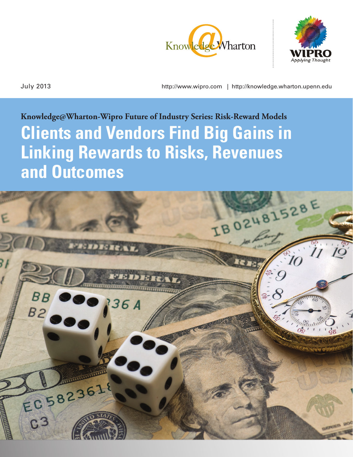



July 2013 http://www.wipro.com | http://knowledge.wharton.upenn.edu

# **Knowledge@Wharton-Wipro Future of Industry Series: Risk-Reward Models Clients and Vendors Find Big Gains in Linking Rewards to Risks, Revenues and Outcomes**

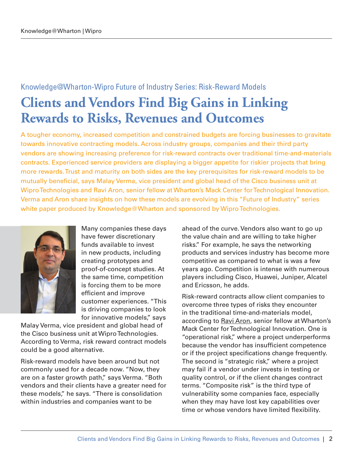# Knowledge@Wharton-Wipro Future of Industry Series: Risk-Reward Models **Clients and Vendors Find Big Gains in Linking Rewards to Risks, Revenues and Outcomes**

A tougher economy, increased competition and constrained budgets are forcing businesses to gravitate towards innovative contracting models. Across industry groups, companies and their third party vendors are showing increasing preference for risk-reward contracts over traditional time-and-materials contracts. Experienced service providers are displaying a bigger appetite for riskier projects that bring more rewards. Trust and maturity on both sides are the key prerequisites for risk-reward models to be mutually beneficial, says Malay Verma, vice president and global head of the Cisco business unit at Wipro Technologies and Ravi Aron, senior fellow at Wharton's Mack Center for Technological Innovation. Verma and Aron share insights on how these models are evolving in this "Future of Industry" series white paper produced by Knowledge@Wharton and sponsored by Wipro Technologies.



Many companies these days have fewer discretionary funds available to invest in new products, including creating prototypes and proof-of-concept studies. At the same time, competition is forcing them to be more efficient and improve customer experiences. "This is driving companies to look for innovative models," says

Malay Verma, vice president and global head of the Cisco business unit at Wipro Technologies. According to Verma, risk reward contract models could be a good alternative.

Risk-reward models have been around but not commonly used for a decade now. "Now, they are on a faster growth path," says Verma. "Both vendors and their clients have a greater need for these models," he says. "There is consolidation within industries and companies want to be

ahead of the curve. Vendors also want to go up the value chain and are willing to take higher risks." For example, he says the networking products and services industry has become more competitive as compared to what is was a few years ago. Competition is intense with numerous players including Cisco, Huawei, Juniper, Alcatel and Ericsson, he adds.

Risk-reward contracts allow client companies to overcome three types of risks they encounter in the traditional time-and-materials model, according to [Ravi Aron](http://mackcenter.wharton.upenn.edu/about/faculty-fellows-management/senior-fellows/), senior fellow at Wharton's Mack Center for Technological Innovation. One is "operational risk," where a project underperforms because the vendor has insufficient competence or if the project specifications change frequently. The second is "strategic risk," where a project may fail if a vendor under invests in testing or quality control, or if the client changes contract terms. "Composite risk" is the third type of vulnerability some companies face, especially when they may have lost key capabilities over time or whose vendors have limited flexibility.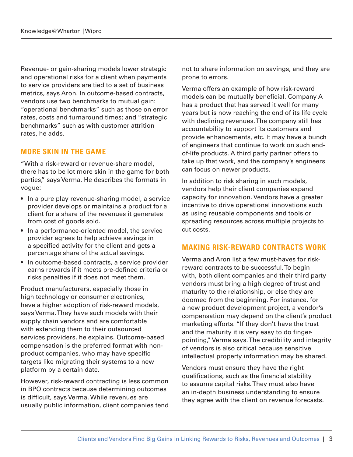Revenue- or gain-sharing models lower strategic and operational risks for a client when payments to service providers are tied to a set of business metrics, says Aron. In outcome-based contracts, vendors use two benchmarks to mutual gain: "operational benchmarks" such as those on error rates, costs and turnaround times; and "strategic benchmarks" such as with customer attrition rates, he adds.

# **MORE SKIN IN THE GAME**

"With a risk-reward or revenue-share model, there has to be lot more skin in the game for both parties," says Verma. He describes the formats in vogue:

- In a pure play revenue-sharing model, a service provider develops or maintains a product for a client for a share of the revenues it generates from cost of goods sold.
- In a performance-oriented model, the service provider agrees to help achieve savings in a specified activity for the client and gets a percentage share of the actual savings.
- In outcome-based contracts, a service provider earns rewards if it meets pre-defined criteria or risks penalties if it does not meet them.

Product manufacturers, especially those in high technology or consumer electronics, have a higher adoption of risk-reward models, says Verma. They have such models with their supply chain vendors and are comfortable with extending them to their outsourced services providers, he explains. Outcome-based compensation is the preferred format with nonproduct companies, who may have specific targets like migrating their systems to a new platform by a certain date.

However, risk-reward contracting is less common in BPO contracts because determining outcomes is difficult, says Verma. While revenues are usually public information, client companies tend not to share information on savings, and they are prone to errors.

Verma offers an example of how risk-reward models can be mutually beneficial. Company A has a product that has served it well for many years but is now reaching the end of its life cycle with declining revenues. The company still has accountability to support its customers and provide enhancements, etc. It may have a bunch of engineers that continue to work on such endof-life products. A third party partner offers to take up that work, and the company's engineers can focus on newer products.

In addition to risk sharing in such models, vendors help their client companies expand capacity for innovation. Vendors have a greater incentive to drive operational innovations such as using reusable components and tools or spreading resources across multiple projects to cut costs.

#### **MAKING RISK-REWARD CONTRACTS WORK**

Verma and Aron list a few must-haves for riskreward contracts to be successful. To begin with, both client companies and their third party vendors must bring a high degree of trust and maturity to the relationship, or else they are doomed from the beginning. For instance, for a new product development project, a vendor's compensation may depend on the client's product marketing efforts. "If they don't have the trust and the maturity it is very easy to do fingerpointing," Verma says. The credibility and integrity of vendors is also critical because sensitive intellectual property information may be shared.

Vendors must ensure they have the right qualifications, such as the financial stability to assume capital risks. They must also have an in-depth business understanding to ensure they agree with the client on revenue forecasts.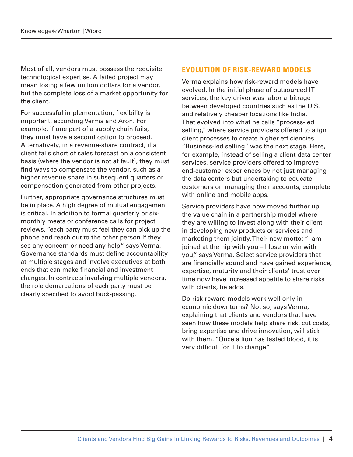Most of all, vendors must possess the requisite technological expertise. A failed project may mean losing a few million dollars for a vendor, but the complete loss of a market opportunity for the client.

For successful implementation, flexibility is important, according Verma and Aron. For example, if one part of a supply chain fails, they must have a second option to proceed. Alternatively, in a revenue-share contract, if a client falls short of sales forecast on a consistent basis (where the vendor is not at fault), they must find ways to compensate the vendor, such as a higher revenue share in subsequent quarters or compensation generated from other projects.

Further, appropriate governance structures must be in place. A high degree of mutual engagement is critical. In addition to formal quarterly or sixmonthly meets or conference calls for project reviews, "each party must feel they can pick up the phone and reach out to the other person if they see any concern or need any help," says Verma. Governance standards must define accountability at multiple stages and involve executives at both ends that can make financial and investment changes. In contracts involving multiple vendors, the role demarcations of each party must be clearly specified to avoid buck-passing.

# **EVOLUTION OF RISK-REWARD MODELS**

Verma explains how risk-reward models have evolved. In the initial phase of outsourced IT services, the key driver was labor arbitrage between developed countries such as the U.S. and relatively cheaper locations like India. That evolved into what he calls "process-led selling," where service providers offered to align client processes to create higher efficiencies. "Business-led selling" was the next stage. Here, for example, instead of selling a client data center services, service providers offered to improve end-customer experiences by not just managing the data centers but undertaking to educate customers on managing their accounts, complete with online and mobile apps.

Service providers have now moved further up the value chain in a partnership model where they are willing to invest along with their client in developing new products or services and marketing them jointly. Their new motto: "I am joined at the hip with you – I lose or win with you," says Verma. Select service providers that are financially sound and have gained experience, expertise, maturity and their clients' trust over time now have increased appetite to share risks with clients, he adds.

Do risk-reward models work well only in economic downturns? Not so, says Verma, explaining that clients and vendors that have seen how these models help share risk, cut costs, bring expertise and drive innovation, will stick with them. "Once a lion has tasted blood, it is very difficult for it to change."